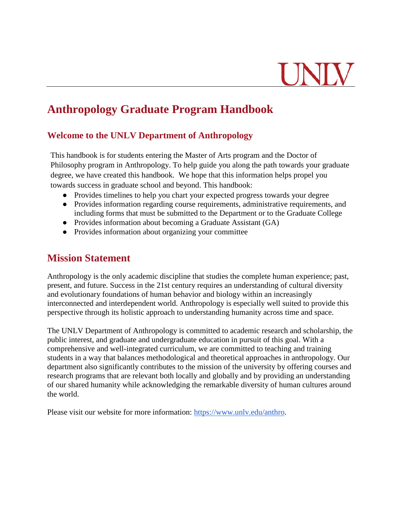### **Anthropology Graduate Program Handbook**

#### **Welcome to the UNLV Department of Anthropology**

This handbook is for students entering the Master of Arts program and the Doctor of Philosophy program in Anthropology. To help guide you along the path towards your graduate degree, we have created this handbook. We hope that this information helps propel you towards success in graduate school and beyond. This handbook:

- Provides timelines to help you chart your expected progress towards your degree
- Provides information regarding course requirements, administrative requirements, and including forms that must be submitted to the Department or to the Graduate College
- Provides information about becoming a Graduate Assistant (GA)
- Provides information about organizing your committee

### **Mission Statement**

Anthropology is the only academic discipline that studies the complete human experience; past, present, and future. Success in the 21st century requires an understanding of cultural diversity and evolutionary foundations of human behavior and biology within an increasingly interconnected and interdependent world. Anthropology is especially well suited to provide this perspective through its holistic approach to understanding humanity across time and space.

The UNLV Department of Anthropology is committed to academic research and scholarship, the public interest, and graduate and undergraduate education in pursuit of this goal. With a comprehensive and well-integrated curriculum, we are committed to teaching and training students in a way that balances methodological and theoretical approaches in anthropology. Our department also significantly contributes to the mission of the university by offering courses and research programs that are relevant both locally and globally and by providing an understanding of our shared humanity while acknowledging the remarkable diversity of human cultures around the world.

Please visit our website for more information: [https://www.unlv.edu/anthro.](https://www.unlv.edu/anthro)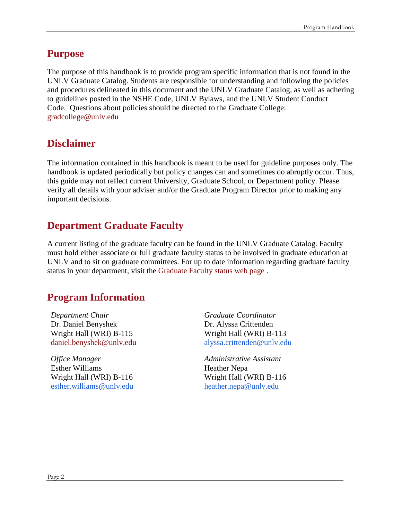### **Purpose**

The purpose of this handbook is to provide program specific information that is not found in the UNLV Graduate Catalog. Students are responsible for understanding and following the policies and procedures delineated in this document and the UNLV Graduate Catalog, as well as adhering to guidelines posted in the NSHE Code, UNLV Bylaws, and the UNLV Student Conduct Code. Questions about policies should be directed to the Graduate College: [gradcollege@unlv.edu](mailto:gradcollege@unlv.edu)

### **Disclaimer**

The information contained in this handbook is meant to be used for guideline purposes only. The handbook is updated periodically but policy changes can and sometimes do abruptly occur. Thus, this guide may not reflect current University, Graduate School, or Department policy. Please verify all details with your adviser and/or the Graduate Program Director prior to making any important decisions.

### **Department Graduate Faculty**

A current listing of the graduate faculty can be found in the UNLV Graduate Catalog. Faculty must hold either associate or full graduate faculty status to be involved in graduate education at UNLV and to sit on graduate committees. For up to date information regarding graduate faculty status in your department, visit the [Graduate Faculty status web page](https://www.unlv.edu/graduatecollege/graduate-faculty-status) [.](https://www.unlv.edu/graduatecollege/graduate-faculty-status)

### **Program Information**

*Department Chair* Dr. Daniel Benyshek Wright Hall (WRI) B-115 [daniel.benyshek@unlv.edu](mailto:daniel.benyshek@unlv.edu)

*Office Manager* Esther Williams Wright Hall (WRI) B-116 [esther.williams@unlv.edu](mailto:esther.williams@unlv.edu) *Graduate Coordinator* Dr. Alyssa Crittenden Wright Hall (WRI) B-113 [alyssa.crittenden@unlv.edu](mailto:alyssa.crittenden@unlv.edu)

*Administrative Assistant* Heather Nepa Wright Hall (WRI) B-116 [heather.nepa@unlv.edu](mailto:heather.nepa@unlv.edu)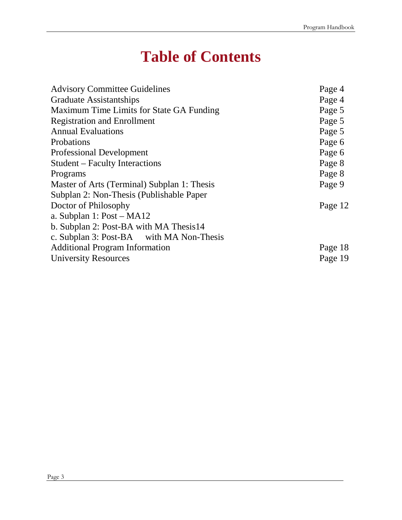# **Table of Contents**

| <b>Advisory Committee Guidelines</b>        | Page 4  |
|---------------------------------------------|---------|
| <b>Graduate Assistantships</b>              | Page 4  |
| Maximum Time Limits for State GA Funding    | Page 5  |
| <b>Registration and Enrollment</b>          | Page 5  |
| <b>Annual Evaluations</b>                   | Page 5  |
| Probations                                  | Page 6  |
| <b>Professional Development</b>             | Page 6  |
| <b>Student</b> – Faculty Interactions       | Page 8  |
| Programs                                    | Page 8  |
| Master of Arts (Terminal) Subplan 1: Thesis | Page 9  |
| Subplan 2: Non-Thesis (Publishable Paper    |         |
| Doctor of Philosophy                        | Page 12 |
| a. Subplan 1: Post – MA12                   |         |
| b. Subplan 2: Post-BA with MA Thesis14      |         |
| c. Subplan 3: Post-BA with MA Non-Thesis    |         |
| <b>Additional Program Information</b>       | Page 18 |
| <b>University Resources</b>                 | Page 19 |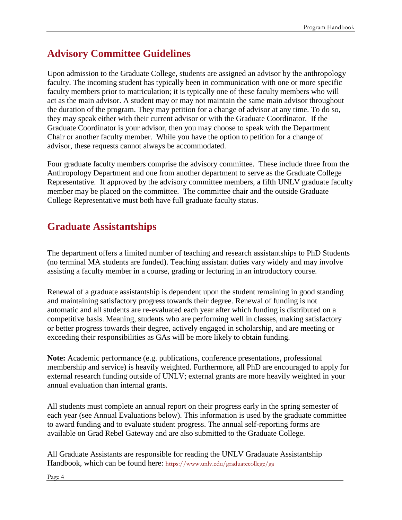### **Advisory Committee Guidelines**

Upon admission to the Graduate College, students are assigned an advisor by the anthropology faculty. The incoming student has typically been in communication with one or more specific faculty members prior to matriculation; it is typically one of these faculty members who will act as the main advisor. A student may or may not maintain the same main advisor throughout the duration of the program. They may petition for a change of advisor at any time. To do so, they may speak either with their current advisor or with the Graduate Coordinator. If the Graduate Coordinator is your advisor, then you may choose to speak with the Department Chair or another faculty member. While you have the option to petition for a change of advisor, these requests cannot always be accommodated.

Four graduate faculty members comprise the advisory committee. These include three from the Anthropology Department and one from another department to serve as the Graduate College Representative. If approved by the advisory committee members, a fifth UNLV graduate faculty member may be placed on the committee. The committee chair and the outside Graduate College Representative must both have full graduate faculty status.

### **Graduate Assistantships**

The department offers a limited number of teaching and research assistantships to PhD Students (no terminal MA students are funded). Teaching assistant duties vary widely and may involve assisting a faculty member in a course, grading or lecturing in an introductory course.

Renewal of a graduate assistantship is dependent upon the student remaining in good standing and maintaining satisfactory progress towards their degree. Renewal of funding is not automatic and all students are re-evaluated each year after which funding is distributed on a competitive basis. Meaning, students who are performing well in classes, making satisfactory or better progress towards their degree, actively engaged in scholarship, and are meeting or exceeding their responsibilities as GAs will be more likely to obtain funding.

**Note:** Academic performance (e.g. publications, conference presentations, professional membership and service) is heavily weighted. Furthermore, all PhD are encouraged to apply for external research funding outside of UNLV; external grants are more heavily weighted in your annual evaluation than internal grants.

All students must complete an annual report on their progress early in the spring semester of each year (see Annual Evaluations below). This information is used by the graduate committee to award funding and to evaluate student progress. The annual self-reporting forms are available on Grad Rebel Gateway and are also submitted to the Graduate College.

All Graduate Assistants are responsible for reading the [UNLV Gradauate Assistantship](https://www.unlv.edu/sites/default/files/page_files/27/GradCollege-GraduateAssistantHandbook.pdf)  [Handbook,](https://www.unlv.edu/sites/default/files/page_files/27/GradCollege-GraduateAssistantHandbook.pdf) which can be found here: <https://www.unlv.edu/graduatecollege/ga>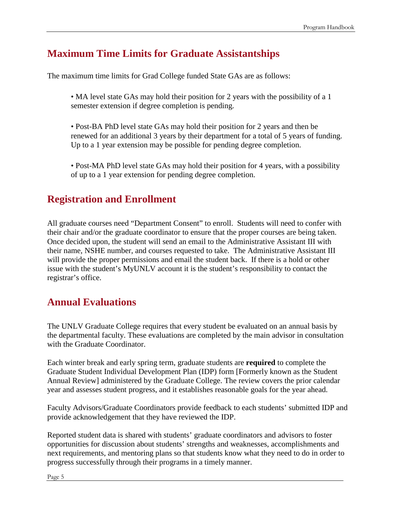### **Maximum Time Limits for Graduate Assistantships**

The maximum time limits for Grad College funded State GAs are as follows:

• MA level state GAs may hold their position for 2 years with the possibility of a 1 semester extension if degree completion is pending.

- Post-BA PhD level state GAs may hold their position for 2 years and then be renewed for an additional 3 years by their department for a total of 5 years of funding. Up to a 1 year extension may be possible for pending degree completion.
- Post-MA PhD level state GAs may hold their position for 4 years, with a possibility of up to a 1 year extension for pending degree completion.

### **Registration and Enrollment**

All graduate courses need "Department Consent" to enroll. Students will need to confer with their chair and/or the graduate coordinator to ensure that the proper courses are being taken. Once decided upon, the student will send an email to the Administrative Assistant III with their name, NSHE number, and courses requested to take. The Administrative Assistant III will provide the proper permissions and email the student back. If there is a hold or other issue with the student's MyUNLV account it is the student's responsibility to contact the registrar's office.

### **Annual Evaluations**

The UNLV Graduate College requires that every student be evaluated on an annual basis by the departmental faculty. These evaluations are completed by the main advisor in consultation with the Graduate Coordinator.

Each winter break and early spring term, graduate students are **required** to complete the Graduate Student Individual Development Plan (IDP) form [Formerly known as the Student Annual Review] administered by the Graduate College. The review covers the prior calendar year and assesses student progress, and it establishes reasonable goals for the year ahead.

Faculty Advisors/Graduate Coordinators provide feedback to each students' submitted IDP and provide acknowledgement that they have reviewed the IDP.

Reported student data is shared with students' graduate coordinators and advisors to foster opportunities for discussion about students' strengths and weaknesses, accomplishments and next requirements, and mentoring plans so that students know what they need to do in order to progress successfully through their programs in a timely manner.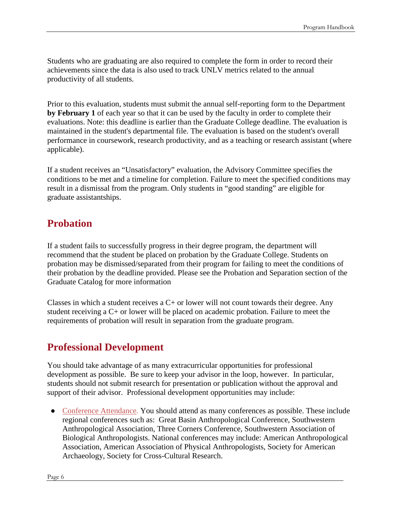Students who are graduating are also required to complete the form in order to record their achievements since the data is also used to track UNLV metrics related to the annual productivity of all students.

Prior to this evaluation, students must submit the annual self-reporting form to the Department **by February 1** of each year so that it can be used by the faculty in order to complete their evaluations. Note: this deadline is earlier than the Graduate College deadline. The evaluation is maintained in the student's departmental file. The evaluation is based on the student's overall performance in coursework, research productivity, and as a teaching or research assistant (where applicable).

If a student receives an "Unsatisfactory" evaluation, the Advisory Committee specifies the conditions to be met and a timeline for completion. Failure to meet the specified conditions may result in a dismissal from the program. Only students in "good standing" are eligible for graduate assistantships.

### **Probation**

If a student fails to successfully progress in their degree program, the department will recommend that the student be placed on probation by the Graduate College. Students on probation may be dismissed/separated from their program for failing to meet the conditions of their probation by the deadline provided. Please see the Probation and Separation section of the Graduate Catalog for more information

Classes in which a student receives a  $C<sub>+</sub>$  or lower will not count towards their degree. Any student receiving a C+ or lower will be placed on academic probation. Failure to meet the requirements of probation will result in separation from the graduate program.

### **Professional Development**

You should take advantage of as many extracurricular opportunities for professional development as possible. Be sure to keep your advisor in the loop, however. In particular, students should not submit research for presentation or publication without the approval and support of their advisor. Professional development opportunities may include:

• Conference Attendance. You should attend as many conferences as possible. These include regional conferences such as: Great Basin Anthropological Conference, Southwestern Anthropological Association, Three Corners Conference, Southwestern Association of Biological Anthropologists. National conferences may include: American Anthropological Association, American Association of Physical Anthropologists, Society for American Archaeology, Society for Cross-Cultural Research.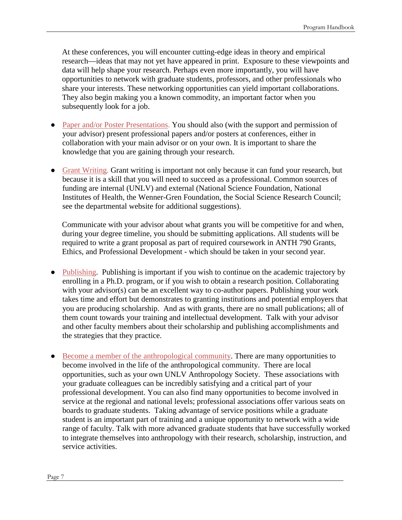At these conferences, you will encounter cutting-edge ideas in theory and empirical research—ideas that may not yet have appeared in print. Exposure to these viewpoints and data will help shape your research. Perhaps even more importantly, you will have opportunities to network with graduate students, professors, and other professionals who share your interests. These networking opportunities can yield important collaborations. They also begin making you a known commodity, an important factor when you subsequently look for a job.

- Paper and/or Poster Presentations. You should also (with the support and permission of your advisor) present professional papers and/or posters at conferences, either in collaboration with your main advisor or on your own. It is important to share the knowledge that you are gaining through your research.
- Grant Writing. Grant writing is important not only because it can fund your research, but because it is a skill that you will need to succeed as a professional. Common sources of funding are internal (UNLV) and external (National Science Foundation, National Institutes of Health, the Wenner-Gren Foundation, the Social Science Research Council; see the departmental website for additional suggestions).

Communicate with your advisor about what grants you will be competitive for and when, during your degree timeline, you should be submitting applications. All students will be required to write a grant proposal as part of required coursework in ANTH 790 Grants, Ethics, and Professional Development - which should be taken in your second year.

- Publishing. Publishing is important if you wish to continue on the academic trajectory by enrolling in a Ph.D. program, or if you wish to obtain a research position. Collaborating with your advisor(s) can be an excellent way to co-author papers. Publishing your work takes time and effort but demonstrates to granting institutions and potential employers that you are producing scholarship. And as with grants, there are no small publications; all of them count towards your training and intellectual development. Talk with your advisor and other faculty members about their scholarship and publishing accomplishments and the strategies that they practice.
- Become a member of the anthropological community. There are many opportunities to become involved in the life of the anthropological community. There are local opportunities, such as your own UNLV Anthropology Society. These associations with your graduate colleagues can be incredibly satisfying and a critical part of your professional development. You can also find many opportunities to become involved in service at the regional and national levels; professional associations offer various seats on boards to graduate students. Taking advantage of service positions while a graduate student is an important part of training and a unique opportunity to network with a wide range of faculty. Talk with more advanced graduate students that have successfully worked to integrate themselves into anthropology with their research, scholarship, instruction, and service activities.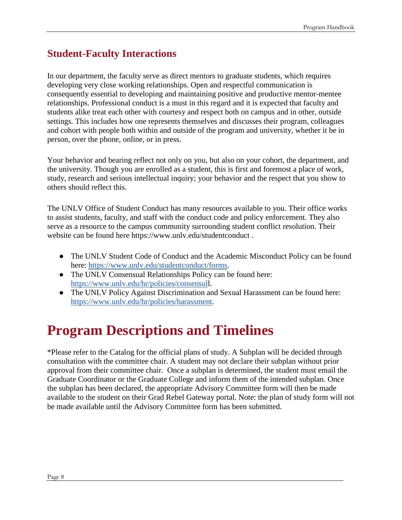### **Student-Faculty Interactions**

In our department, the faculty serve as direct mentors to graduate students, which requires developing very close working relationships. Open and respectful communication is consequently essential to developing and maintaining positive and productive mentor-mentee relationships. Professional conduct is a must in this regard and it is expected that faculty and students alike treat each other with courtesy and respect both on campus and in other, outside settings. This includes how one represents themselves and discusses their program, colleagues and cohort with people both within and outside of the program and university, whether it be in person, over the phone, online, or in press.

Your behavior and bearing reflect not only on you, but also on your cohort, the department, and the university. Though you are enrolled as a student, this is first and foremost a place of work, study, research and serious intellectual inquiry; your behavior and the respect that you show to others should reflect this.

The UNLV Office of Student Conduct has many resources available to you. Their office works to assist students, faculty, and staff with the conduct code and policy enforcement. They also serve as a resource to the campus community surrounding student conflict resolution. Their website can be found here https://www.unlv.edu/studentconduct .

- The UNLV Student Code of Conduct and the Academic Misconduct Policy can be found here: [https://www.unlv.edu/studentconduct/forms.](https://www.unlv.edu/studentconduct/forms)
- The UNLV Consensual Relationships Policy can be found here: [https://www.unlv.edu/hr/policies/consensull](https://www.unlv.edu/hr/policies/consensul).
- The UNLV Policy Against Discrimination and Sexual Harassment can be found here: [https://www.unlv.edu/hr/policies/harassment.](https://www.unlv.edu/hr/policies/harassment)

# **Program Descriptions and Timelines**

\*Please refer to the Catalog for the official plans of study. A Subplan will be decided through consultation with the committee chair. A student may not declare their subplan without prior approval from their committee chair. Once a subplan is determined, the student must email the Graduate Coordinator or the Graduate College and inform them of the intended subplan. Once the subplan has been declared, the appropriate Advisory Committee form will then be made available to the student on their Grad Rebel Gateway portal. Note: the plan of study form will not be made available until the Advisory Committee form has been submitted.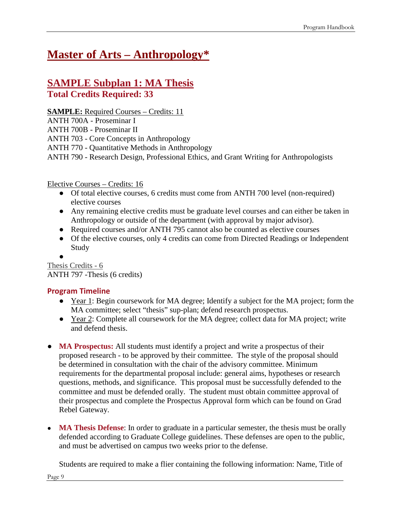## **[Master of Arts –](https://catalog.unlv.edu/preview_entity.php?catoid=34&ent_oid=2914) Anthropology\***

### **SAMPLE Subplan 1: MA Thesis Total Credits Required: 33**

**SAMPLE:** Required Courses – Credits: 11

ANTH 700A - [Proseminar I](https://catalog.unlv.edu/preview_program.php?catoid=30&poid=9036&hl=%22ANTH%22&returnto=search) ANTH 700B - [Proseminar II](https://catalog.unlv.edu/preview_program.php?catoid=30&poid=9036&hl=%22ANTH%22&returnto=search) ANTH 703 - [Core Concepts in](https://catalog.unlv.edu/preview_program.php?catoid=30&poid=9036&hl=%22ANTH%22&returnto=search) Anthropology ANTH 770 - [Quantitative Methods in](https://catalog.unlv.edu/preview_program.php?catoid=30&poid=9036&hl=%22ANTH%22&returnto=search) Anthropology ANTH 790 - [Research Design, Professional Ethics, and Grant Writing for](https://catalog.unlv.edu/preview_program.php?catoid=30&poid=9036&hl=%22ANTH%22&returnto=search) Anthropologists

#### Elective Courses – Credits: 16

- Of total elective courses, 6 credits must come from ANTH 700 level (non-required) elective courses
- Any remaining elective credits must be graduate level courses and can either be taken in Anthropology or outside of the department (with approval by major advisor).
- Required courses and/or ANTH 795 cannot also be counted as elective courses
- Of the elective courses, only 4 credits can come from Directed Readings or Independent Study
- ●

Thesis Credits - 6 ANTH 797 -Thesis (6 credits)

#### **Program Timeline**

- Year 1: Begin coursework for MA degree; Identify a subject for the MA project; form the MA committee; select "thesis" sup-plan; defend research prospectus.
- Year 2: Complete all coursework for the MA degree; collect data for MA project; write and defend thesis.
- **MA Prospectus:** All students must identify a project and write a prospectus of their proposed research - to be approved by their committee. The style of the proposal should be determined in consultation with the chair of the advisory committee. Minimum requirements for the departmental proposal include: general aims, hypotheses or research questions, methods, and significance. This proposal must be successfully defended to the committee and must be defended orally. The student must obtain committee approval of their prospectus and complete the Prospectus Approval form which can be found on Grad Rebel Gateway.
- **MA Thesis Defense**: In order to graduate in a particular semester, the thesis must be orally defended according to Graduate College guidelines. These defenses are open to the public, and must be advertised on campus two weeks prior to the defense.

Students are required to make a flier containing the following information: Name, Title of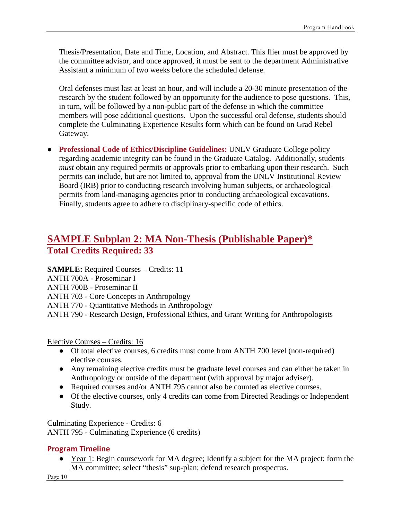Thesis/Presentation, Date and Time, Location, and Abstract. This flier must be approved by the committee advisor, and once approved, it must be sent to the department Administrative Assistant a minimum of two weeks before the scheduled defense.

Oral defenses must last at least an hour, and will include a 20-30 minute presentation of the research by the student followed by an opportunity for the audience to pose questions. This, in turn, will be followed by a non-public part of the defense in which the committee members will pose additional questions. Upon the successful oral defense, students should complete the Culminating Experience Results form which can be found on Grad Rebel Gateway.

● **Professional Code of Ethics/Discipline Guidelines:** UNLV Graduate College policy regarding academic integrity can be found in the Graduate Catalog. Additionally, students *must* obtain any required permits or approvals prior to embarking upon their research. Such permits can include, but are not limited to, approval from the UNLV Institutional Review Board (IRB) prior to conducting research involving human subjects, or archaeological permits from land-managing agencies prior to conducting archaeological excavations. Finally, students agree to adhere to disciplinary-specific code of ethics.

### **SAMPLE Subplan 2: MA Non-Thesis (Publishable Paper)\* Total Credits Required: 33**

**SAMPLE:** Required Courses – Credits: 11

ANTH 700A - [Proseminar I](https://catalog.unlv.edu/preview_program.php?catoid=30&poid=9036&hl=%22ANTH%22&returnto=search)

ANTH 700B - [Proseminar II](https://catalog.unlv.edu/preview_program.php?catoid=30&poid=9036&hl=%22ANTH%22&returnto=search)

ANTH 703 - [Core Concepts in](https://catalog.unlv.edu/preview_program.php?catoid=30&poid=9036&hl=%22ANTH%22&returnto=search) Anthropology

ANTH 770 - [Quantitative Methods in](https://catalog.unlv.edu/preview_program.php?catoid=30&poid=9036&hl=%22ANTH%22&returnto=search) Anthropology

ANTH 790 - [Research Design, Professional Ethics, and Grant Writing for](https://catalog.unlv.edu/preview_program.php?catoid=30&poid=9036&hl=%22ANTH%22&returnto=search) Anthropologists

#### Elective Courses – Credits: 16

- Of total elective courses, 6 credits must come from ANTH 700 level (non-required) elective courses.
- Any remaining elective credits must be graduate level courses and can either be taken in Anthropology or outside of the department (with approval by major adviser).
- Required courses and/or ANTH 795 cannot also be counted as elective courses.
- Of the elective courses, only 4 credits can come from Directed Readings or Independent Study.

Culminating Experience - Credits: 6 ANTH 795 - Culminating Experience (6 credits)

#### **Program Timeline**

• Year 1: Begin coursework for MA degree; Identify a subject for the MA project; form the MA committee; select "thesis" sup-plan; defend research prospectus.

Page 10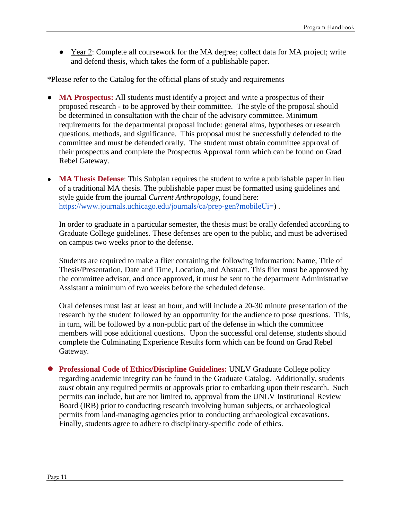● Year 2: Complete all coursework for the MA degree; collect data for MA project; write and defend thesis, which takes the form of a publishable paper.

\*Please refer to the Catalog for the official plans of study and requirements

- **MA Prospectus:** All students must identify a project and write a prospectus of their proposed research - to be approved by their committee. The style of the proposal should be determined in consultation with the chair of the advisory committee. Minimum requirements for the departmental proposal include: general aims, hypotheses or research questions, methods, and significance. This proposal must be successfully defended to the committee and must be defended orally. The student must obtain committee approval of their prospectus and complete the Prospectus Approval form which can be found on Grad Rebel Gateway.
- **MA Thesis Defense**: This Subplan requires the student to write a publishable paper in lieu of a traditional MA thesis. The publishable paper must be formatted using guidelines and style guide from the journal *Current Anthropology*, found here: [https://www.journals.uchicago.edu/journals/ca/prep-gen?mobileUi=\)](https://www.journals.uchicago.edu/journals/ca/prep-gen?mobileUi=) .

In order to graduate in a particular semester, the thesis must be orally defended according to Graduate College guidelines. These defenses are open to the public, and must be advertised on campus two weeks prior to the defense.

Students are required to make a flier containing the following information: Name, Title of Thesis/Presentation, Date and Time, Location, and Abstract. This flier must be approved by the committee advisor, and once approved, it must be sent to the department Administrative Assistant a minimum of two weeks before the scheduled defense.

Oral defenses must last at least an hour, and will include a 20-30 minute presentation of the research by the student followed by an opportunity for the audience to pose questions. This, in turn, will be followed by a non-public part of the defense in which the committee members will pose additional questions. Upon the successful oral defense, students should complete the Culminating Experience Results form which can be found on Grad Rebel Gateway.

● **Professional Code of Ethics/Discipline Guidelines:** UNLV Graduate College policy regarding academic integrity can be found in the Graduate Catalog. Additionally, students *must* obtain any required permits or approvals prior to embarking upon their research. Such permits can include, but are not limited to, approval from the UNLV Institutional Review Board (IRB) prior to conducting research involving human subjects, or archaeological permits from land-managing agencies prior to conducting archaeological excavations. Finally, students agree to adhere to disciplinary-specific code of ethics.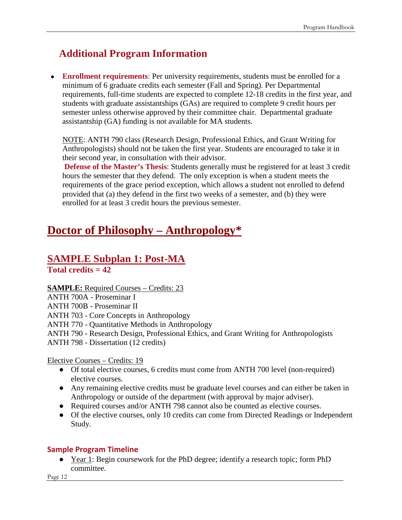### **Additional Program Information**

● **Enrollment requirements**: Per university requirements, students must be enrolled for a minimum of 6 graduate credits each semester (Fall and Spring). Per Departmental requirements, full-time students are expected to complete 12-18 credits in the first year, and students with graduate assistantships (GAs) are required to complete 9 credit hours per semester unless otherwise approved by their committee chair. Departmental graduate assistantship (GA) funding is not available for MA students.

NOTE: ANTH 790 class (Research Design, Professional Ethics, and Grant Writing for Anthropologists) should not be taken the first year. Students are encouraged to take it in their second year, in consultation with their advisor.

**Defense of the Master's Thesis**: Students generally must be registered for at least 3 credit hours the semester that they defend. The only exception is when a student meets the requirements of the grace period exception, which allows a student not enrolled to defend provided that (a) they defend in the first two weeks of a semester, and (b) they were enrolled for at least 3 credit hours the previous semester.

### **[Doctor of Philosophy –](https://catalog.unlv.edu/preview_entity.php?catoid=34&ent_oid=2914) Anthropology\***

#### **SAMPLE Subplan 1: Post-MA Total credits = 42**

**SAMPLE:** Required Courses – Credits: 23

ANTH 700A - [Proseminar I](https://catalog.unlv.edu/preview_program.php?catoid=30&poid=9036&hl=%22ANTH%22&returnto=search)

ANTH 700B - [Proseminar II](https://catalog.unlv.edu/preview_program.php?catoid=30&poid=9036&hl=%22ANTH%22&returnto=search)

ANTH 703 - [Core Concepts in](https://catalog.unlv.edu/preview_program.php?catoid=30&poid=9036&hl=%22ANTH%22&returnto=search) Anthropology

ANTH 770 - [Quantitative Methods in](https://catalog.unlv.edu/preview_program.php?catoid=30&poid=9036&hl=%22ANTH%22&returnto=search) Anthropology

ANTH 790 - [Research Design, Professional Ethics, and Grant Writing for](https://catalog.unlv.edu/preview_program.php?catoid=30&poid=9036&hl=%22ANTH%22&returnto=search) Anthropologists

ANTH 798 - Dissertation (12 credits)

Elective Courses – Credits: 19

- Of total elective courses, 6 credits must come from ANTH 700 level (non-required) elective courses.
- Any remaining elective credits must be graduate level courses and can either be taken in Anthropology or outside of the department (with approval by major adviser).
- Required courses and/or ANTH 798 cannot also be counted as elective courses.
- Of the elective courses, only 10 credits can come from Directed Readings or Independent Study.

#### **Sample Program Timeline**

• Year 1: Begin coursework for the PhD degree; identify a research topic; form PhD committee.

Page 12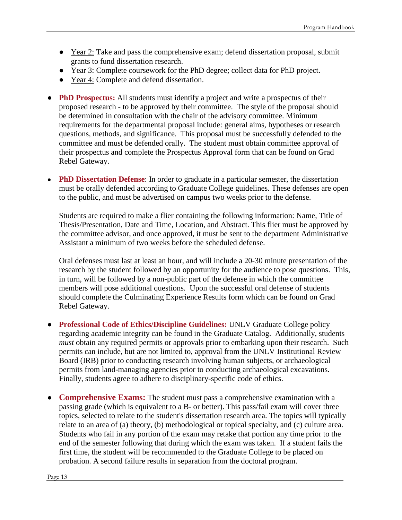- Year 2: Take and pass the comprehensive exam; defend dissertation proposal, submit grants to fund dissertation research.
- Year 3: Complete coursework for the PhD degree; collect data for PhD project.
- Year 4: Complete and defend dissertation.
- **PhD Prospectus:** All students must identify a project and write a prospectus of their proposed research - to be approved by their committee. The style of the proposal should be determined in consultation with the chair of the advisory committee. Minimum requirements for the departmental proposal include: general aims, hypotheses or research questions, methods, and significance. This proposal must be successfully defended to the committee and must be defended orally. The student must obtain committee approval of their prospectus and complete the Prospectus Approval form that can be found on Grad Rebel Gateway.
- **PhD Dissertation Defense:** In order to graduate in a particular semester, the dissertation must be orally defended according to Graduate College guidelines. These defenses are open to the public, and must be advertised on campus two weeks prior to the defense.

Students are required to make a flier containing the following information: Name, Title of Thesis/Presentation, Date and Time, Location, and Abstract. This flier must be approved by the committee advisor, and once approved, it must be sent to the department Administrative Assistant a minimum of two weeks before the scheduled defense.

Oral defenses must last at least an hour, and will include a 20-30 minute presentation of the research by the student followed by an opportunity for the audience to pose questions. This, in turn, will be followed by a non-public part of the defense in which the committee members will pose additional questions. Upon the successful oral defense of students should complete the Culminating Experience Results form which can be found on Grad Rebel Gateway.

- **Professional Code of Ethics/Discipline Guidelines:** UNLV Graduate College policy regarding academic integrity can be found in the Graduate Catalog. Additionally, students *must* obtain any required permits or approvals prior to embarking upon their research. Such permits can include, but are not limited to, approval from the UNLV Institutional Review Board (IRB) prior to conducting research involving human subjects, or archaeological permits from land-managing agencies prior to conducting archaeological excavations. Finally, students agree to adhere to disciplinary-specific code of ethics.
- **Comprehensive Exams:** The student must pass a comprehensive examination with a passing grade (which is equivalent to a B- or better). This pass/fail exam will cover three topics, selected to relate to the student's dissertation research area. The topics will typically relate to an area of (a) theory, (b) methodological or topical specialty, and (c) culture area. Students who fail in any portion of the exam may retake that portion any time prior to the end of the semester following that during which the exam was taken. If a student fails the first time, the student will be recommended to the Graduate College to be placed on probation. A second failure results in separation from the doctoral program.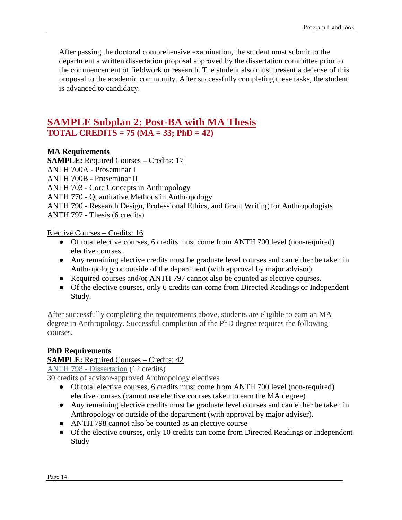After passing the doctoral comprehensive examination, the student must submit to the department a written dissertation proposal approved by the dissertation committee prior to the commencement of fieldwork or research. The student also must present a defense of this proposal to the academic community. After successfully completing these tasks, the student is advanced to candidacy.

### **SAMPLE Subplan 2: Post-BA with MA Thesis TOTAL CREDITS = 75 (MA = 33; PhD = 42)**

#### **MA Requirements**

**SAMPLE:** Required Courses – Credits: 17

ANTH 700A - [Proseminar I](https://catalog.unlv.edu/preview_program.php?catoid=30&poid=9036&hl=%22ANTH%22&returnto=search)

ANTH 700B - [Proseminar II](https://catalog.unlv.edu/preview_program.php?catoid=30&poid=9036&hl=%22ANTH%22&returnto=search)

ANTH 703 - [Core Concepts in](https://catalog.unlv.edu/preview_program.php?catoid=30&poid=9036&hl=%22ANTH%22&returnto=search) Anthropology

ANTH 770 - [Quantitative Methods in](https://catalog.unlv.edu/preview_program.php?catoid=30&poid=9036&hl=%22ANTH%22&returnto=search) Anthropology

ANTH 790 - [Research Design, Professional Ethics, and Grant Writing for](https://catalog.unlv.edu/preview_program.php?catoid=30&poid=9036&hl=%22ANTH%22&returnto=search) Anthropologists

ANTH 797 - Thesis (6 credits)

Elective Courses – Credits: 16

- Of total elective courses, 6 credits must come from ANTH 700 level (non-required) elective courses.
- Any remaining elective credits must be graduate level courses and can either be taken in Anthropology or outside of the department (with approval by major advisor).
- Required courses and/or ANTH 797 cannot also be counted as elective courses.
- Of the elective courses, only 6 credits can come from Directed Readings or Independent Study.

After successfully completing the requirements above, students are eligible to earn an MA degree in Anthropology. Successful completion of the PhD degree requires the following courses.

#### **PhD Requirements**

#### **SAMPLE:** Required Courses – Credits: 42

ANTH 798 - Dissertation (12 credits)

30 credits of advisor-approved Anthropology electives

- Of total elective courses, 6 credits must come from ANTH 700 level (non-required) elective courses (cannot use elective courses taken to earn the MA degree)
- Any remaining elective credits must be graduate level courses and can either be taken in Anthropology or outside of the department (with approval by major adviser).
- ANTH 798 cannot also be counted as an elective course
- Of the elective courses, only 10 credits can come from Directed Readings or Independent Study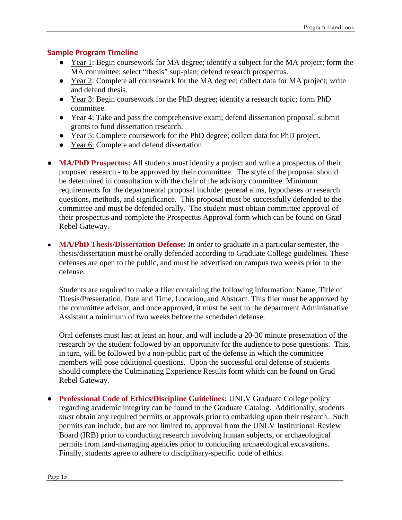#### **Sample Program Timeline**

- Year 1: Begin coursework for MA degree; identify a subject for the MA project; form the MA committee; select "thesis" sup-plan; defend research prospectus.
- Year 2: Complete all coursework for the MA degree; collect data for MA project; write and defend thesis.
- Year 3: Begin coursework for the PhD degree; identify a research topic; form PhD committee.
- Year 4: Take and pass the comprehensive exam; defend dissertation proposal, submit grants to fund dissertation research.
- Year 5: Complete coursework for the PhD degree; collect data for PhD project.
- Year 6: Complete and defend dissertation.
- **MA/PhD Prospectus:** All students must identify a project and write a prospectus of their proposed research - to be approved by their committee. The style of the proposal should be determined in consultation with the chair of the advisory committee. Minimum requirements for the departmental proposal include: general aims, hypotheses or research questions, methods, and significance. This proposal must be successfully defended to the committee and must be defended orally. The student must obtain committee approval of their prospectus and complete the Prospectus Approval form which can be found on Grad Rebel Gateway.
- **MA/PhD Thesis/Dissertation Defense**: In order to graduate in a particular semester, the thesis/dissertation must be orally defended according to Graduate College guidelines. These defenses are open to the public, and must be advertised on campus two weeks prior to the defense.

Students are required to make a flier containing the following information: Name, Title of Thesis/Presentation, Date and Time, Location, and Abstract. This flier must be approved by the committee advisor, and once approved, it must be sent to the department Administrative Assistant a minimum of two weeks before the scheduled defense.

Oral defenses must last at least an hour, and will include a 20-30 minute presentation of the research by the student followed by an opportunity for the audience to pose questions. This, in turn, will be followed by a non-public part of the defense in which the committee members will pose additional questions. Upon the successful oral defense of students should complete the Culminating Experience Results form which can be found on Grad Rebel Gateway.

● **Professional Code of Ethics/Discipline Guidelines:** UNLV Graduate College policy regarding academic integrity can be found in the Graduate Catalog. Additionally, students *must* obtain any required permits or approvals prior to embarking upon their research. Such permits can include, but are not limited to, approval from the UNLV Institutional Review Board (IRB) prior to conducting research involving human subjects, or archaeological permits from land-managing agencies prior to conducting archaeological excavations. Finally, students agree to adhere to disciplinary-specific code of ethics.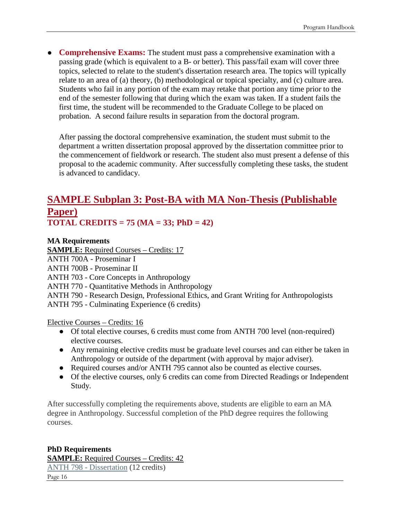● **Comprehensive Exams:** The student must pass a comprehensive examination with a passing grade (which is equivalent to a B- or better). This pass/fail exam will cover three topics, selected to relate to the student's dissertation research area. The topics will typically relate to an area of (a) theory, (b) methodological or topical specialty, and (c) culture area. Students who fail in any portion of the exam may retake that portion any time prior to the end of the semester following that during which the exam was taken. If a student fails the first time, the student will be recommended to the Graduate College to be placed on probation. A second failure results in separation from the doctoral program.

After passing the doctoral comprehensive examination, the student must submit to the department a written dissertation proposal approved by the dissertation committee prior to the commencement of fieldwork or research. The student also must present a defense of this proposal to the academic community. After successfully completing these tasks, the student is advanced to candidacy.

### **SAMPLE Subplan 3: Post-BA with MA Non-Thesis (Publishable Paper) TOTAL CREDITS = 75 (MA = 33; PhD = 42)**

#### **MA Requirements**

**SAMPLE:** Required Courses – Credits: 17

ANTH 700A - [Proseminar I](https://catalog.unlv.edu/preview_program.php?catoid=30&poid=9036&hl=%22ANTH%22&returnto=search)

ANTH 700B - [Proseminar II](https://catalog.unlv.edu/preview_program.php?catoid=30&poid=9036&hl=%22ANTH%22&returnto=search)

ANTH 703 - [Core Concepts in](https://catalog.unlv.edu/preview_program.php?catoid=30&poid=9036&hl=%22ANTH%22&returnto=search) Anthropology

ANTH 770 - [Quantitative Methods in](https://catalog.unlv.edu/preview_program.php?catoid=30&poid=9036&hl=%22ANTH%22&returnto=search) Anthropology

ANTH 790 - [Research Design, Professional Ethics, and Grant Writing for](https://catalog.unlv.edu/preview_program.php?catoid=30&poid=9036&hl=%22ANTH%22&returnto=search) Anthropologists ANTH 795 - Culminating Experience (6 credits)

Elective Courses – Credits: 16

- Of total elective courses, 6 credits must come from ANTH 700 level (non-required) elective courses.
- Any remaining elective credits must be graduate level courses and can either be taken in Anthropology or outside of the department (with approval by major adviser).
- Required courses and/or ANTH 795 cannot also be counted as elective courses.
- Of the elective courses, only 6 credits can come from Directed Readings or Independent Study.

After successfully completing the requirements above, students are eligible to earn an MA degree in Anthropology. Successful completion of the PhD degree requires the following courses.

### **PhD Requirements SAMPLE:** Required Courses – Credits: 42 ANTH 798 - [Dissertation](https://catalog.unlv.edu/preview_program.php?catoid=30&poid=9037&hl=%22ANTH%22&returnto=search) (12 credits)

Page 16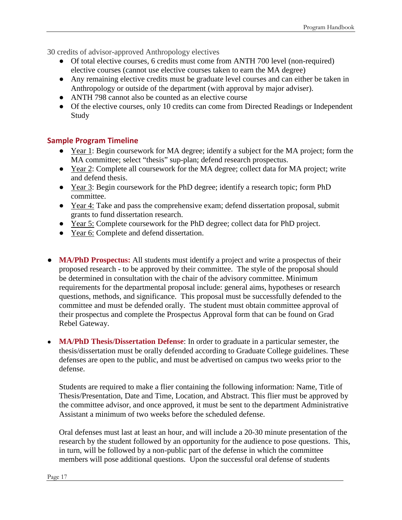30 credits of advisor-approved Anthropology electives

- Of total elective courses, 6 credits must come from ANTH 700 level (non-required) elective courses (cannot use elective courses taken to earn the MA degree)
- Any remaining elective credits must be graduate level courses and can either be taken in Anthropology or outside of the department (with approval by major adviser).
- ANTH 798 cannot also be counted as an elective course
- Of the elective courses, only 10 credits can come from Directed Readings or Independent Study

#### **Sample Program Timeline**

- Year 1: Begin coursework for MA degree; identify a subject for the MA project; form the MA committee; select "thesis" sup-plan; defend research prospectus.
- Year 2: Complete all coursework for the MA degree; collect data for MA project; write and defend thesis.
- Year 3: Begin coursework for the PhD degree; identify a research topic; form PhD committee.
- Year 4: Take and pass the comprehensive exam; defend dissertation proposal, submit grants to fund dissertation research.
- Year 5: Complete coursework for the PhD degree; collect data for PhD project.
- Year 6: Complete and defend dissertation.
- **MA/PhD Prospectus:** All students must identify a project and write a prospectus of their proposed research - to be approved by their committee. The style of the proposal should be determined in consultation with the chair of the advisory committee. Minimum requirements for the departmental proposal include: general aims, hypotheses or research questions, methods, and significance. This proposal must be successfully defended to the committee and must be defended orally. The student must obtain committee approval of their prospectus and complete the Prospectus Approval form that can be found on Grad Rebel Gateway.
- **MA/PhD Thesis/Dissertation Defense**: In order to graduate in a particular semester, the thesis/dissertation must be orally defended according to Graduate College guidelines. These defenses are open to the public, and must be advertised on campus two weeks prior to the defense.

Students are required to make a flier containing the following information: Name, Title of Thesis/Presentation, Date and Time, Location, and Abstract. This flier must be approved by the committee advisor, and once approved, it must be sent to the department Administrative Assistant a minimum of two weeks before the scheduled defense.

Oral defenses must last at least an hour, and will include a 20-30 minute presentation of the research by the student followed by an opportunity for the audience to pose questions. This, in turn, will be followed by a non-public part of the defense in which the committee members will pose additional questions. Upon the successful oral defense of students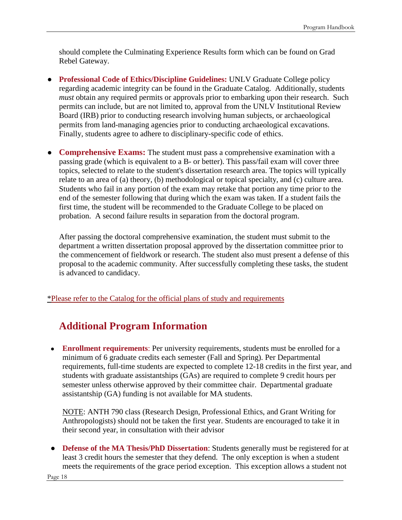should complete the Culminating Experience Results form which can be found on Grad Rebel Gateway.

- **Professional Code of Ethics/Discipline Guidelines:** UNLV Graduate College policy regarding academic integrity can be found in the Graduate Catalog. Additionally, students *must* obtain any required permits or approvals prior to embarking upon their research. Such permits can include, but are not limited to, approval from the UNLV Institutional Review Board (IRB) prior to conducting research involving human subjects, or archaeological permits from land-managing agencies prior to conducting archaeological excavations. Finally, students agree to adhere to disciplinary-specific code of ethics.
- **Comprehensive Exams:** The student must pass a comprehensive examination with a passing grade (which is equivalent to a B- or better). This pass/fail exam will cover three topics, selected to relate to the student's dissertation research area. The topics will typically relate to an area of (a) theory, (b) methodological or topical specialty, and (c) culture area. Students who fail in any portion of the exam may retake that portion any time prior to the end of the semester following that during which the exam was taken. If a student fails the first time, the student will be recommended to the Graduate College to be placed on probation. A second failure results in separation from the doctoral program.

After passing the doctoral comprehensive examination, the student must submit to the department a written dissertation proposal approved by the dissertation committee prior to the commencement of fieldwork or research. The student also must present a defense of this proposal to the academic community. After successfully completing these tasks, the student is advanced to candidacy.

[\\*Please refer to the Catalog for the official plans of study and requirements](https://catalog.unlv.edu/preview_entity.php?catoid=34&ent_oid=2914)

### **Additional Program Information**

● **Enrollment requirements**: Per university requirements, students must be enrolled for a minimum of 6 graduate credits each semester (Fall and Spring). Per Departmental requirements, full-time students are expected to complete 12-18 credits in the first year, and students with graduate assistantships (GAs) are required to complete 9 credit hours per semester unless otherwise approved by their committee chair. Departmental graduate assistantship (GA) funding is not available for MA students.

NOTE: ANTH 790 class (Research Design, Professional Ethics, and Grant Writing for Anthropologists) should not be taken the first year. Students are encouraged to take it in their second year, in consultation with their advisor

● **Defense of the MA Thesis/PhD Dissertation**: Students generally must be registered for at least 3 credit hours the semester that they defend. The only exception is when a student meets the requirements of the grace period exception. This exception allows a student not

Page 18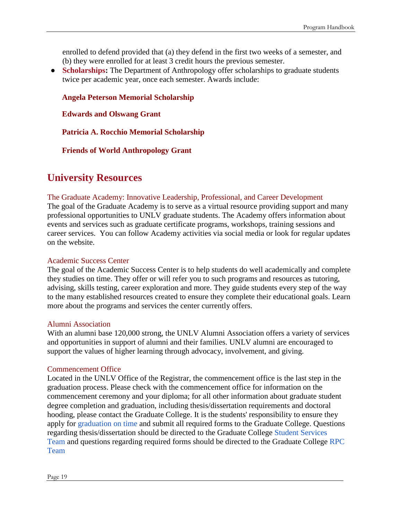enrolled to defend provided that (a) they defend in the first two weeks of a semester, and (b) they were enrolled for at least 3 credit hours the previous semester.

• **Scholarships:** The Department of Anthropology offer scholarships to graduate students twice per academic year, once each semester. Awards include:

**[Angela Peterson Memorial Scholarship](https://www.unlv.edu/anthro/peterson-memorial)**

**[Edwards and Olswang Grant](https://www.unlv.edu/sites/default/files/page_files/27/Edwards_and_Olswang.pdf)**

**[Patricia A. Rocchio Memorial Scholarship](https://www.unlv.edu/sites/default/files/page_files/27/FallRocchio_Scholarship_announcement_2013-14.pdf)**

**[Friends of World Anthropology Grant](https://www.unlv.edu/sites/default/files/page_files/27/FWAAnnouncement2013.pdf)**

### **University Resources**

#### The Graduate Academy: Innovative Leadership, Professional, and Career Development

The goal of the Graduate Academy is to serve as a virtual resource providing support and many professional opportunities to UNLV graduate students. The Academy offers information about events and services such as graduate certificate programs, workshops, training sessions and career services. You can follow Academy activities via social media or look for regular updates on the website.

#### [Academic Success Center](http://academicsuccess.unlv.edu/)

The goal of the Academic Success Center is to help students do well academically and complete they studies on time. They offer or will refer you to such programs and resources as tutoring, advising, skills testing, career exploration and more. They guide students every step of the way to the many established resources created to ensure they complete their educational goals. Learn more about the programs and services the center currently offers.

#### [Alumni Association](https://www.unlv.edu/about-alumni)

With an alumni base 120,000 strong, the UNLV Alumni Association offers a variety of services and opportunities in support of alumni and their families. UNLV alumni are encouraged to support the values of higher learning through advocacy, involvement, and giving.

#### [Commencement Office](http://www.unlv.edu/commencement)

Located in the UNLV Office of the Registrar, the commencement office is the last step in the graduation process. Please check with the commencement office for information on the commencement ceremony and your diploma; for all other information about graduate student degree completion and graduation, including thesis/dissertation requirements and doctoral hooding, please contact the Graduate College. It is the students' responsibility to ensure they apply for [graduation on time](https://www.unlv.edu/graduatecollege/graduation-deadlines) and submit all required forms to the Graduate College. Questions regarding thesis/dissertation should be directed to the Graduate College [Student Services](https://www.unlv.edu/graduatecollege/thesis)  [Team](https://www.unlv.edu/graduatecollege/thesis) and questions regarding required forms should be directed to the Graduate College [RPC](https://www.unlv.edu/graduatecollege/current)  [Team](https://www.unlv.edu/graduatecollege/current)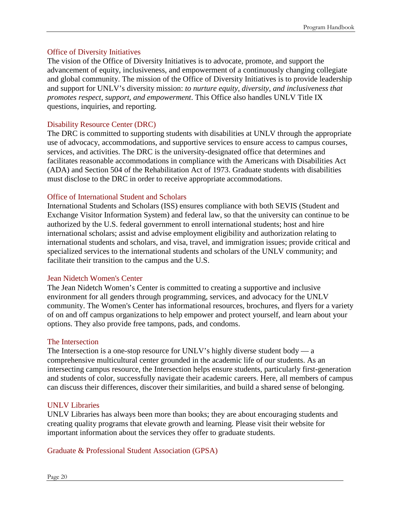#### [Office of Diversity Initiatives](http://www.unlv.edu/diversityinitiatives)

The vision of the Office of Diversity Initiatives is to advocate, promote, and support the advancement of equity, inclusiveness, and empowerment of a continuously changing collegiate and global community. The mission of the Office of Diversity Initiatives is to provide leadership and support for UNLV's diversity mission: *to nurture equity, diversity, and inclusiveness that promotes respect, support, and empowerment*. This Office also handles UNLV Title IX questions, inquiries, and reporting.

#### [Disability Resource Center \(DRC\)](http://drc.unlv.edu/)

The DRC is committed to supporting students with disabilities at UNLV through the appropriate use of advocacy, accommodations, and supportive services to ensure access to campus courses, services, and activities. The DRC is the university-designated office that determines and facilitates reasonable accommodations in compliance with the Americans with Disabilities Act (ADA) and Section 504 of the Rehabilitation Act of 1973. Graduate students with disabilities must disclose to the DRC in order to receive appropriate accommodations.

#### [Office of International Student and Scholars](http://www.unlv.edu/iss)

International Students and Scholars (ISS) ensures compliance with both SEVIS (Student and Exchange Visitor Information System) and federal law, so that the university can continue to be authorized by the U.S. federal government to enroll international students; host and hire international scholars; assist and advise employment eligibility and authorization relating to international students and scholars, and visa, travel, and immigration issues; provide critical and specialized services to the international students and scholars of the UNLV community; and facilitate their transition to the campus and the U.S.

#### [Jean Nidetch Women's Center](https://www.unlv.edu/womenscenter)

The Jean Nidetch Women's Center is committed to creating a supportive and inclusive environment for all genders through programming, services, and advocacy for the UNLV community. The Women's Center has informational resources, brochures, and flyers for a variety of on and off campus organizations to help empower and protect yourself, and learn about your options. They also provide free tampons, pads, and condoms.

#### [The Intersection](https://www.unlv.edu/intersection)

The Intersection is a one-stop resource for UNLV's highly diverse student body — a comprehensive multicultural center grounded in the academic life of our students. As an intersecting campus resource, the Intersection helps ensure students, particularly first-generation and students of color, successfully navigate their academic careers. Here, all members of campus can discuss their differences, discover their similarities, and build a shared sense of belonging.

#### [UNLV Libraries](http://www.library.unlv.edu/)

UNLV Libraries has always been more than books; they are about encouraging students and creating quality programs that elevate growth and learning. Please visit their website for important information about the services they offer to graduate students.

#### [Graduate & Professional Student Association \(GPSA\)](http://www.unlv.edu/gpsa)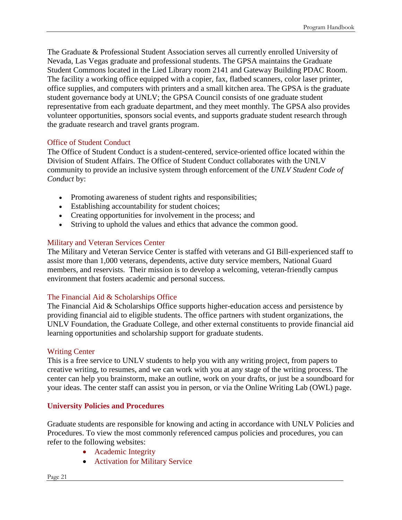The Graduate & Professional Student Association serves all currently enrolled University of Nevada, Las Vegas graduate and professional students. The GPSA maintains the Graduate Student Commons located in the Lied Library room 2141 and Gateway Building PDAC Room. The facility a working office equipped with a copier, fax, flatbed scanners, color laser printer, office supplies, and computers with printers and a small kitchen area. The GPSA is the graduate student governance body at UNLV; the GPSA Council consists of one graduate student representative from each graduate department, and they meet monthly. The GPSA also provides volunteer opportunities, sponsors social events, and supports graduate student research through the graduate research and travel grants program.

#### [Office of Student Conduct](http://studentconduct.unlv.edu/)

The Office of Student Conduct is a student-centered, service-oriented office located within the Division of Student Affairs. The Office of Student Conduct collaborates with the UNLV community to provide an inclusive system through enforcement of the *UNLV Student Code of Conduct* by:

- Promoting awareness of student rights and responsibilities;
- Establishing accountability for student choices;
- Creating opportunities for involvement in the process; and
- Striving to uphold the values and ethics that advance the common good.

#### [Military and Veteran Services Center](https://www.unlv.edu/veterans)

The Military and Veteran Service Center is staffed with veterans and GI Bill-experienced staff to assist more than 1,000 veterans, dependents, active duty service members, National Guard members, and reservists. Their mission is to develop a welcoming, veteran-friendly campus environment that fosters academic and personal success.

#### [The Financial Aid & Scholarships Office](http://www.unlv.edu/finaid)

The Financial Aid & Scholarships Office supports higher-education access and persistence by providing financial aid to eligible students. The office partners with student organizations, the UNLV Foundation, the Graduate College, and other external constituents to provide financial aid learning opportunities and scholarship support for graduate students.

#### [Writing Center](http://writingcenter.unlv.edu/)

This is a free service to UNLV students to help you with any writing project, from papers to creative writing, to resumes, and we can work with you at any stage of the writing process. The center can help you brainstorm, make an outline, work on your drafts, or just be a soundboard for your ideas. The center staff can assist you in person, or via the Online Writing Lab (OWL) page.

#### **University Policies and Procedures**

Graduate students are responsible for knowing and acting in accordance with UNLV Policies and Procedures. To view the most commonly referenced campus policies and procedures, you can refer to the following websites:

- [Academic Integrity](https://www.unlv.edu/studentconduct/misconduct)
- [Activation for Military Service](http://www.unlv.edu/veterans/deploy)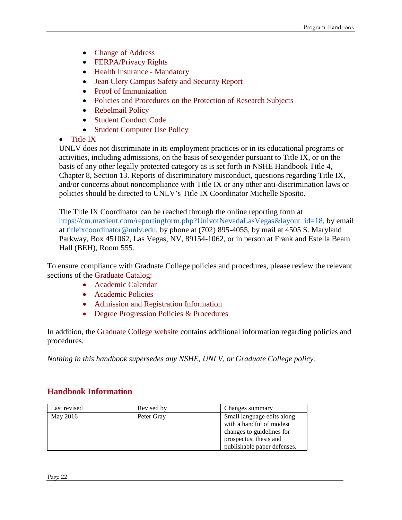- [Change of Address](http://www.unlv.edu/registrar/forms#C)
- [FERPA/Privacy Rights](http://www.unlv.edu/registrar/ferpa)
- [Health Insurance -](https://www.unlv.edu/graduatecollege/current/healthinsurance) Mandatory
- [Jean Clery Campus Safety and Security Report](http://police.unlv.edu/policies/campus-report.html)
- [Proof of Immunization](http://www.unlv.edu/admissions/immunizations)
- [Policies and Procedures on the Protection of Research Subjects](http://www.unlv.edu/research/ORI-HSR/review-boards)
- [Rebelmail Policy](http://rebelmail.unlv.edu/)
- [Student Conduct Code](http://studentconduct.unlv.edu/conduct/student-conduct-code.html)
- [Student Computer Use Policy](https://www.it.unlv.edu/policies)

#### • [Title IX](https://www.unlv.edu/compliance/titleIX)

UNLV does not discriminate in its employment practices or in its educational programs or activities, including admissions, on the basis of sex/gender pursuant to Title IX, or on the basis of any other legally protected category as is set forth in NSHE Handbook Title 4, Chapter 8, Section 13. Reports of discriminatory misconduct, questions regarding Title IX, and/or concerns about noncompliance with Title IX or any other anti-discrimination laws or policies should be directed to UNLV's Title IX Coordinator Michelle Sposito.

The Title IX Coordinator can be reached through the online reporting form at [https://cm.maxient.com/reportingform.php?UnivofNevadaLasVegas&layout\\_id=18,](https://cm.maxient.com/reportingform.php?UnivofNevadaLasVegas&layout_id=18) by email at [titleixcoordinator@unlv.edu,](mailto:titleixcoordinator@unlv.edu) by phone at (702) 895-4055, by mail at 4505 S. Maryland Parkway, Box 451062, Las Vegas, NV, 89154-1062, or in person at Frank and Estella Beam Hall (BEH), Room 555.

To ensure compliance with Graduate College policies and procedures, please review the relevant sections of the [Graduate Catalog:](https://catalog.unlv.edu/content.php?catoid=34&navoid=8761) 

- [Academic Calendar](https://catalog.unlv.edu/content.php?catoid=34&navoid=8761)
- [Academic Policies](https://catalog.unlv.edu/content.php?catoid=34&navoid=8761)
- [Admission and Registration Information](https://catalog.unlv.edu/content.php?catoid=34&navoid=8761)
- [Degree Progression Policies & Procedures](https://catalog.unlv.edu/content.php?catoid=34&navoid=8761)

In addition, the [Graduate College website](http://graduatecollege.unlv.edu/) contains additional information regarding policies and procedures.

*Nothing in this handbook supersedes any NSHE, UNLV, or Graduate College policy.*

#### **Handbook Information**

| Last revised | Revised by | Changes summary             |
|--------------|------------|-----------------------------|
| May 2016     | Peter Gray | Small language edits along  |
|              |            | with a handful of modest    |
|              |            | changes to guidelines for   |
|              |            | prospectus, thesis and      |
|              |            | publishable paper defenses. |